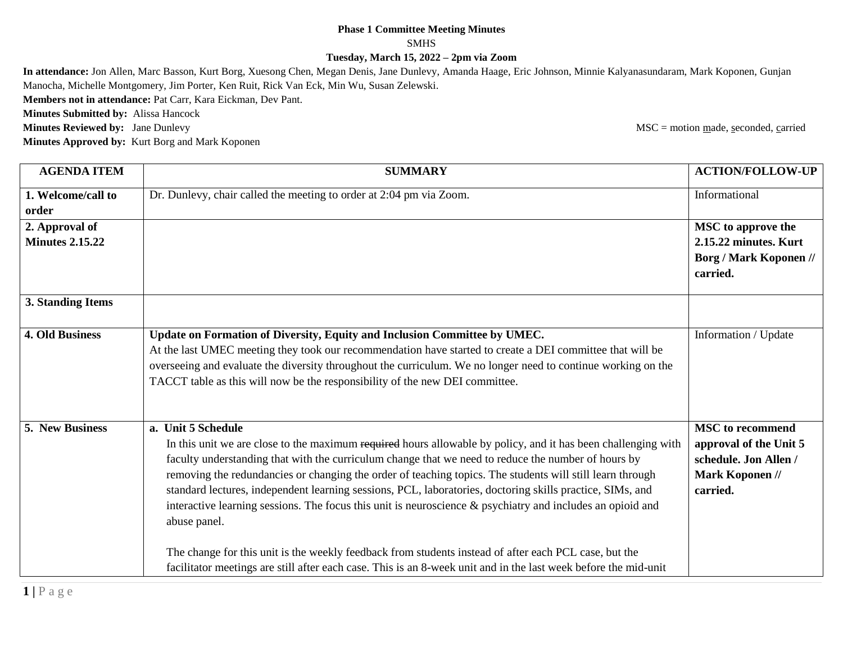## **Phase 1 Committee Meeting Minutes** SMHS **Tuesday, March 15, 2022 – 2pm via Zoom**

**In attendance:** Jon Allen, Marc Basson, Kurt Borg, Xuesong Chen, Megan Denis, Jane Dunlevy, Amanda Haage, Eric Johnson, Minnie Kalyanasundaram, Mark Koponen, Gunjan Manocha, Michelle Montgomery, Jim Porter, Ken Ruit, Rick Van Eck, Min Wu, Susan Zelewski.

**Members not in attendance:** Pat Carr, Kara Eickman, Dev Pant.

**Minutes Submitted by:** Alissa Hancock

**Minutes Approved by:** Kurt Borg and Mark Koponen

**Minutes Reviewed by:** Jane Dunlevy MSC = motion made, seconded, carried

| <b>AGENDA ITEM</b>     | <b>SUMMARY</b>                                                                                                  | <b>ACTION/FOLLOW-UP</b>                   |
|------------------------|-----------------------------------------------------------------------------------------------------------------|-------------------------------------------|
| 1. Welcome/call to     | Dr. Dunlevy, chair called the meeting to order at 2:04 pm via Zoom.                                             | Informational                             |
| order                  |                                                                                                                 |                                           |
| 2. Approval of         |                                                                                                                 | <b>MSC</b> to approve the                 |
| <b>Minutes 2.15.22</b> |                                                                                                                 | 2.15.22 minutes. Kurt                     |
|                        |                                                                                                                 | <b>Borg / Mark Koponen //</b><br>carried. |
| 3. Standing Items      |                                                                                                                 |                                           |
| <b>4. Old Business</b> | Update on Formation of Diversity, Equity and Inclusion Committee by UMEC.                                       | Information / Update                      |
|                        | At the last UMEC meeting they took our recommendation have started to create a DEI committee that will be       |                                           |
|                        | overseeing and evaluate the diversity throughout the curriculum. We no longer need to continue working on the   |                                           |
|                        | TACCT table as this will now be the responsibility of the new DEI committee.                                    |                                           |
|                        |                                                                                                                 |                                           |
| 5. New Business        | a. Unit 5 Schedule                                                                                              | <b>MSC</b> to recommend                   |
|                        | In this unit we are close to the maximum required hours allowable by policy, and it has been challenging with   | approval of the Unit 5                    |
|                        | faculty understanding that with the curriculum change that we need to reduce the number of hours by             | schedule. Jon Allen /                     |
|                        | removing the redundancies or changing the order of teaching topics. The students will still learn through       | Mark Koponen //                           |
|                        | standard lectures, independent learning sessions, PCL, laboratories, doctoring skills practice, SIMs, and       | carried.                                  |
|                        | interactive learning sessions. The focus this unit is neuroscience $\&$ psychiatry and includes an opioid and   |                                           |
|                        | abuse panel.                                                                                                    |                                           |
|                        |                                                                                                                 |                                           |
|                        | The change for this unit is the weekly feedback from students instead of after each PCL case, but the           |                                           |
|                        | facilitator meetings are still after each case. This is an 8-week unit and in the last week before the mid-unit |                                           |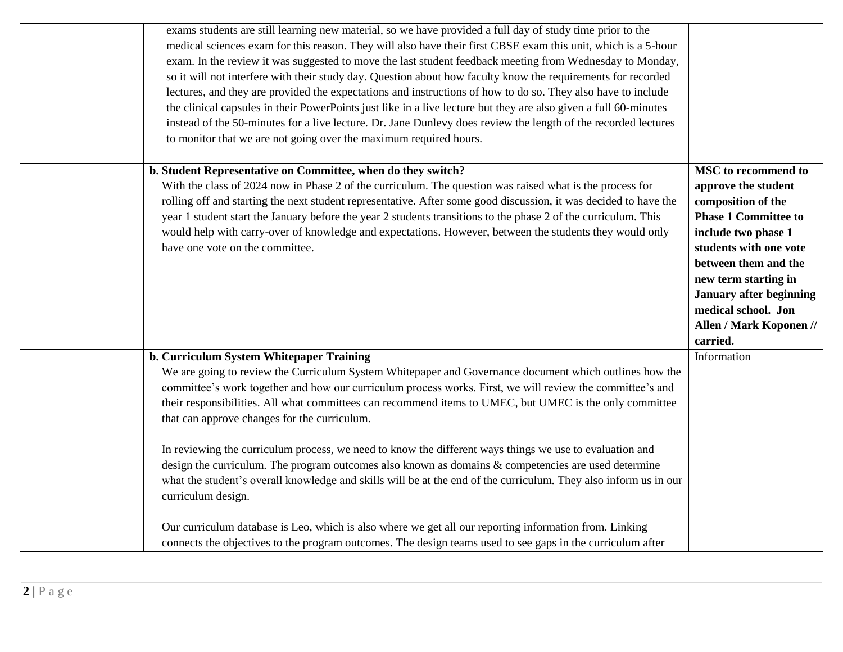| exams students are still learning new material, so we have provided a full day of study time prior to the<br>medical sciences exam for this reason. They will also have their first CBSE exam this unit, which is a 5-hour<br>exam. In the review it was suggested to move the last student feedback meeting from Wednesday to Monday,<br>so it will not interfere with their study day. Question about how faculty know the requirements for recorded<br>lectures, and they are provided the expectations and instructions of how to do so. They also have to include<br>the clinical capsules in their PowerPoints just like in a live lecture but they are also given a full 60-minutes<br>instead of the 50-minutes for a live lecture. Dr. Jane Dunlevy does review the length of the recorded lectures<br>to monitor that we are not going over the maximum required hours.                |                                                                                                                                                                                                                                                                                                                |
|--------------------------------------------------------------------------------------------------------------------------------------------------------------------------------------------------------------------------------------------------------------------------------------------------------------------------------------------------------------------------------------------------------------------------------------------------------------------------------------------------------------------------------------------------------------------------------------------------------------------------------------------------------------------------------------------------------------------------------------------------------------------------------------------------------------------------------------------------------------------------------------------------|----------------------------------------------------------------------------------------------------------------------------------------------------------------------------------------------------------------------------------------------------------------------------------------------------------------|
| b. Student Representative on Committee, when do they switch?<br>With the class of 2024 now in Phase 2 of the curriculum. The question was raised what is the process for<br>rolling off and starting the next student representative. After some good discussion, it was decided to have the<br>year 1 student start the January before the year 2 students transitions to the phase 2 of the curriculum. This<br>would help with carry-over of knowledge and expectations. However, between the students they would only<br>have one vote on the committee.                                                                                                                                                                                                                                                                                                                                     | <b>MSC</b> to recommend to<br>approve the student<br>composition of the<br><b>Phase 1 Committee to</b><br>include two phase 1<br>students with one vote<br>between them and the<br>new term starting in<br><b>January after beginning</b><br>medical school. Jon<br><b>Allen / Mark Koponen //</b><br>carried. |
| b. Curriculum System Whitepaper Training<br>We are going to review the Curriculum System Whitepaper and Governance document which outlines how the<br>committee's work together and how our curriculum process works. First, we will review the committee's and<br>their responsibilities. All what committees can recommend items to UMEC, but UMEC is the only committee<br>that can approve changes for the curriculum.<br>In reviewing the curriculum process, we need to know the different ways things we use to evaluation and<br>design the curriculum. The program outcomes also known as domains & competencies are used determine<br>what the student's overall knowledge and skills will be at the end of the curriculum. They also inform us in our<br>curriculum design.<br>Our curriculum database is Leo, which is also where we get all our reporting information from. Linking | Information                                                                                                                                                                                                                                                                                                    |
| connects the objectives to the program outcomes. The design teams used to see gaps in the curriculum after                                                                                                                                                                                                                                                                                                                                                                                                                                                                                                                                                                                                                                                                                                                                                                                       |                                                                                                                                                                                                                                                                                                                |